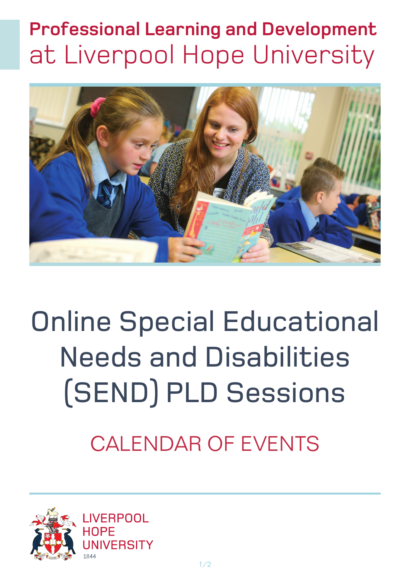## **Professional Learning and Development** at Liverpool Hope University



# Online Special Educational Needs and Disabilities (SEND) PLD Sessions

## CALENDAR OF EVENTS